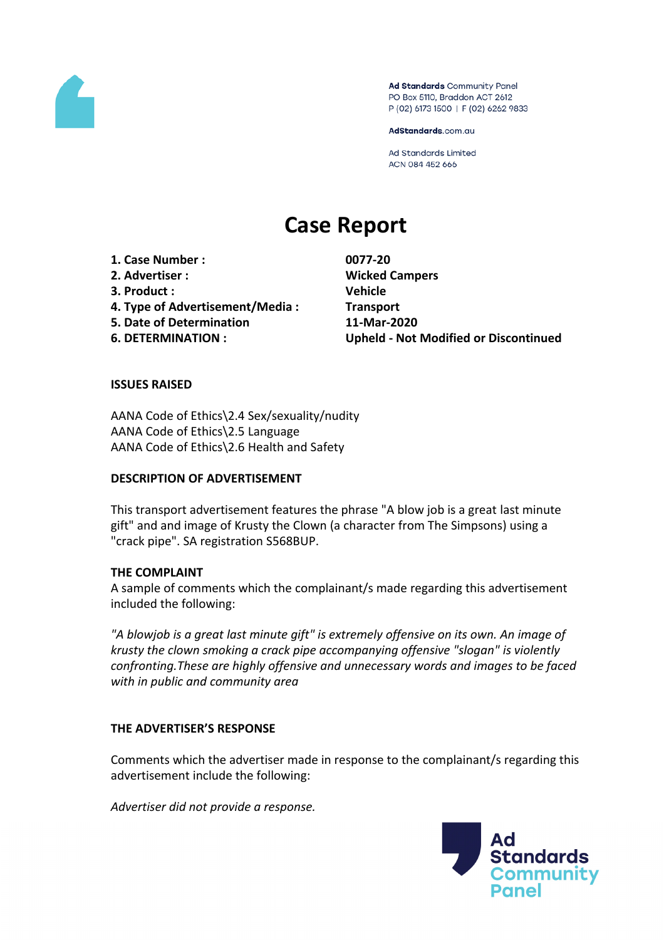

Ad Standards Community Panel PO Box 5110, Braddon ACT 2612 P (02) 6173 1500 | F (02) 6262 9833

AdStandards.com.au

**Ad Standards Limited** ACN 084 452 666

# **Case Report**

**1. Case Number : 0077-20 2. Advertiser : Wicked Campers 3. Product : Vehicle 4. Type of Advertisement/Media : Transport 5. Date of Determination 11-Mar-2020**

**6. DETERMINATION : Upheld - Not Modified or Discontinued**

### **ISSUES RAISED**

AANA Code of Ethics\2.4 Sex/sexuality/nudity AANA Code of Ethics\2.5 Language AANA Code of Ethics\2.6 Health and Safety

### **DESCRIPTION OF ADVERTISEMENT**

This transport advertisement features the phrase "A blow job is a great last minute gift" and and image of Krusty the Clown (a character from The Simpsons) using a "crack pipe". SA registration S568BUP.

### **THE COMPLAINT**

A sample of comments which the complainant/s made regarding this advertisement included the following:

*"A blowjob is a great last minute gift" is extremely offensive on its own. An image of krusty the clown smoking a crack pipe accompanying offensive "slogan" is violently confronting.These are highly offensive and unnecessary words and images to be faced with in public and community area*

### **THE ADVERTISER'S RESPONSE**

Comments which the advertiser made in response to the complainant/s regarding this advertisement include the following:

*Advertiser did not provide a response.*

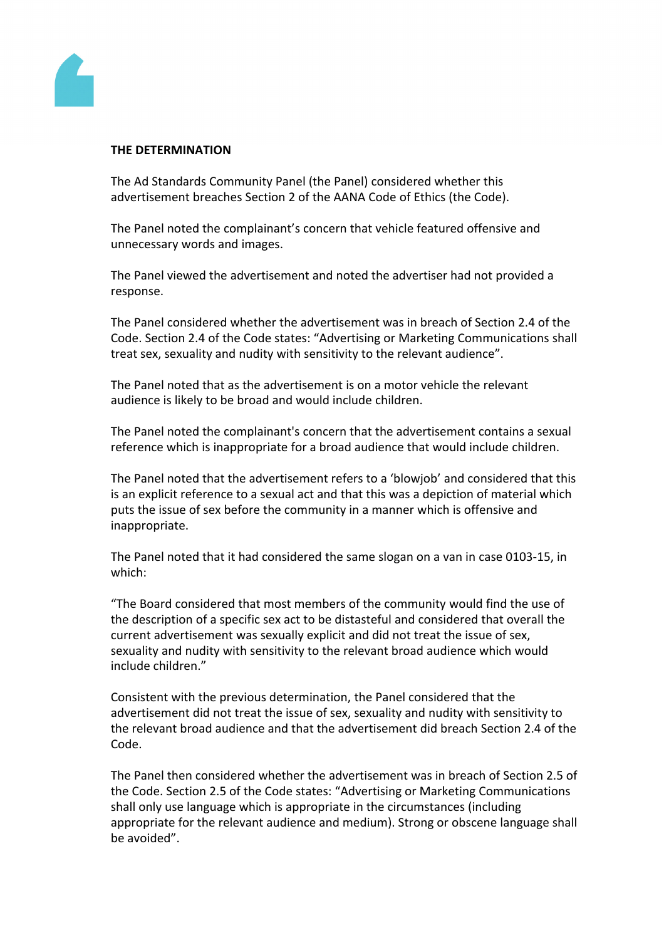

### **THE DETERMINATION**

The Ad Standards Community Panel (the Panel) considered whether this advertisement breaches Section 2 of the AANA Code of Ethics (the Code).

The Panel noted the complainant's concern that vehicle featured offensive and unnecessary words and images.

The Panel viewed the advertisement and noted the advertiser had not provided a response.

The Panel considered whether the advertisement was in breach of Section 2.4 of the Code. Section 2.4 of the Code states: "Advertising or Marketing Communications shall treat sex, sexuality and nudity with sensitivity to the relevant audience".

The Panel noted that as the advertisement is on a motor vehicle the relevant audience is likely to be broad and would include children.

The Panel noted the complainant's concern that the advertisement contains a sexual reference which is inappropriate for a broad audience that would include children.

The Panel noted that the advertisement refers to a 'blowjob' and considered that this is an explicit reference to a sexual act and that this was a depiction of material which puts the issue of sex before the community in a manner which is offensive and inappropriate.

The Panel noted that it had considered the same slogan on a van in case 0103-15, in which:

"The Board considered that most members of the community would find the use of the description of a specific sex act to be distasteful and considered that overall the current advertisement was sexually explicit and did not treat the issue of sex, sexuality and nudity with sensitivity to the relevant broad audience which would include children."

Consistent with the previous determination, the Panel considered that the advertisement did not treat the issue of sex, sexuality and nudity with sensitivity to the relevant broad audience and that the advertisement did breach Section 2.4 of the Code.

The Panel then considered whether the advertisement was in breach of Section 2.5 of the Code. Section 2.5 of the Code states: "Advertising or Marketing Communications shall only use language which is appropriate in the circumstances (including appropriate for the relevant audience and medium). Strong or obscene language shall be avoided".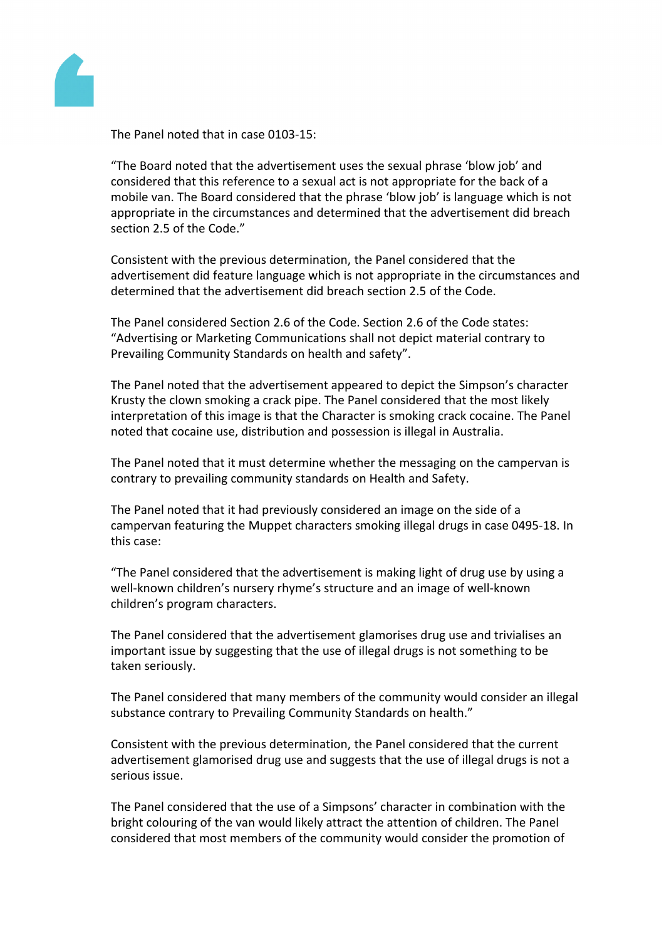

The Panel noted that in case 0103-15:

"The Board noted that the advertisement uses the sexual phrase 'blow job' and considered that this reference to a sexual act is not appropriate for the back of a mobile van. The Board considered that the phrase 'blow job' is language which is not appropriate in the circumstances and determined that the advertisement did breach section 2.5 of the Code."

Consistent with the previous determination, the Panel considered that the advertisement did feature language which is not appropriate in the circumstances and determined that the advertisement did breach section 2.5 of the Code.

The Panel considered Section 2.6 of the Code. Section 2.6 of the Code states: "Advertising or Marketing Communications shall not depict material contrary to Prevailing Community Standards on health and safety".

The Panel noted that the advertisement appeared to depict the Simpson's character Krusty the clown smoking a crack pipe. The Panel considered that the most likely interpretation of this image is that the Character is smoking crack cocaine. The Panel noted that cocaine use, distribution and possession is illegal in Australia.

The Panel noted that it must determine whether the messaging on the campervan is contrary to prevailing community standards on Health and Safety.

The Panel noted that it had previously considered an image on the side of a campervan featuring the Muppet characters smoking illegal drugs in case 0495-18. In this case:

"The Panel considered that the advertisement is making light of drug use by using a well-known children's nursery rhyme's structure and an image of well-known children's program characters.

The Panel considered that the advertisement glamorises drug use and trivialises an important issue by suggesting that the use of illegal drugs is not something to be taken seriously.

The Panel considered that many members of the community would consider an illegal substance contrary to Prevailing Community Standards on health."

Consistent with the previous determination, the Panel considered that the current advertisement glamorised drug use and suggests that the use of illegal drugs is not a serious issue.

The Panel considered that the use of a Simpsons' character in combination with the bright colouring of the van would likely attract the attention of children. The Panel considered that most members of the community would consider the promotion of